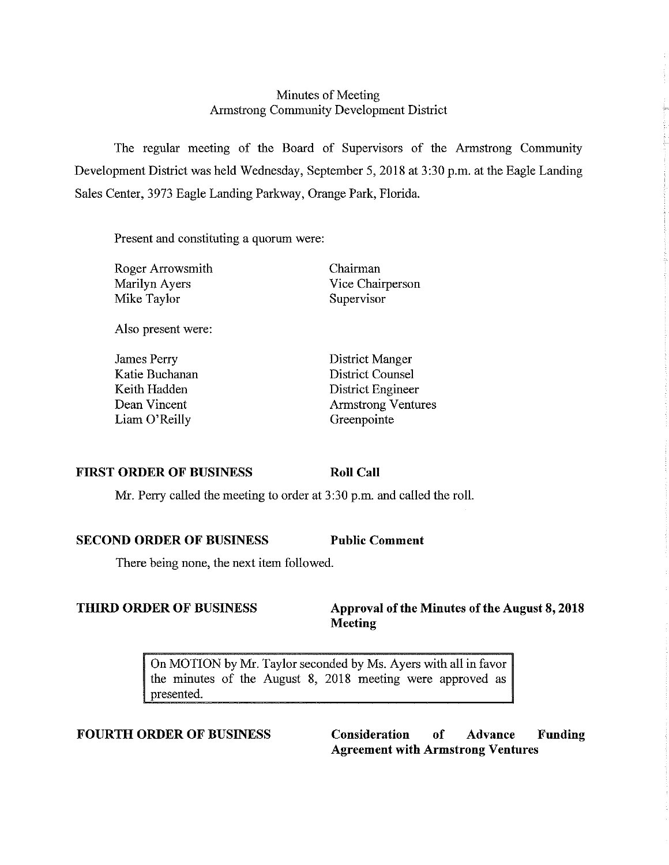## Minutes of Meeting Armstrong Community Development District

The regular meeting of the Board of Supervisors of the Armstrong Community Development District was held Wednesday, September 5, 2018 at 3:30 p.m. at the Eagle Landing Sales Center, 3973 Eagle Landing Parkway, Orange Park, Florida.

Present and constituting a quorum were:

Roger Arrowsmith Marilyn Ayers Mike Taylor

Also present were:

James Perry Katie Buchanan Keith Hadden Dean Vincent Liam O'Reilly

Chairman Vice Chairperson Supervisor

District Manger District Counsel District Engineer Armstrong Ventures Greenpointe

## **FIRST ORDER OF BUSINESS**

**Roll Call** 

Mr. Perry called the meeting to order at 3:30 p.m. and called the roll.

**SECOND ORDER OF BUSINESS Public Comment** 

There being none, the next item followed.

## **THIRD ORDER OF BUSINESS** Approval of the Minutes of the August 8, 2018 **Meeting**

On MOTION by Mr. Taylor seconded by Ms. Ayers with all in favor the minutes of the August 8, 2018 meeting were approved as presented.

**FOURTH ORDER OF BUSINESS Consideration of Advance Funding Agreement with Armstrong Ventures**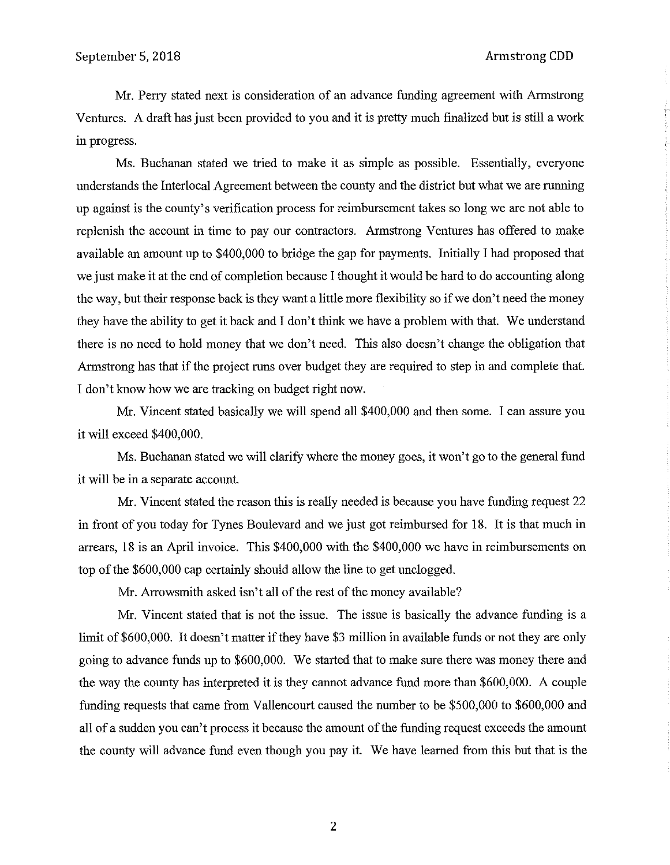Mr. Perry stated next is consideration of an advance funding agreement with Armstrong Ventures. A draft has just been provided to you and it is pretty much finalized but is still a work in progress.

Ms. Buchanan stated we tried to make it as simple as possible. Essentially, everyone understands the Interlocal Agreement between the county and the district but what we are running up against is the county's verification process for reimbursement takes so long we are not able to replenish the account in time to pay our contractors. Armstrong Ventures has offered to make available an amount up to \$400,000 to bridge the gap for payments. Initially I had proposed that we just make it at the end of completion because I thought it would be hard to do accounting along the way, but their response back is they want a little more flexibility so if we don't need the money they have the ability to get it back and I don't think we have a problem with that. We understand there is no need to hold money that we don't need. This also doesn't change the obligation that Armstrong has that if the project runs over budget they are required to step in and complete that. I don't know how we are tracking on budget right now.

Mr. Vincent stated basically we will spend all \$400,000 and then some. I can assure you it will exceed \$400,000.

Ms. Buchanan stated we will clarify where the money goes, it won't go to the general fund it will be in a separate account.

Mr. Vincent stated the reason this is really needed is because you have funding request 22 in front of you today for Tynes Boulevard and we just got reimbursed for 18. It is that much in arrears, 18 is an April invoice. This \$400,000 with the \$400,000 we have in reimbursements on top of the \$600,000 cap certainly should allow the line to get unclogged.

Mr. Arrowsmith asked isn't all of the rest of the money available?

Mr. Vincent stated that is not the issue. The issue is basically the advance funding is a limit of \$600,000. It doesn't matter if they have \$3 million in available funds or not they are only going to advance funds up to \$600,000. We started that to make sure there was money there and the way the county has interpreted it is they cannot advance fund more than \$600,000. A couple funding requests that came from Vallencourt caused the number to be \$500,000 to \$600,000 and all of a sudden you can't process it because the amount of the funding request exceeds the amount the county will advance fund even though you pay it. We have learned from this but that is the

2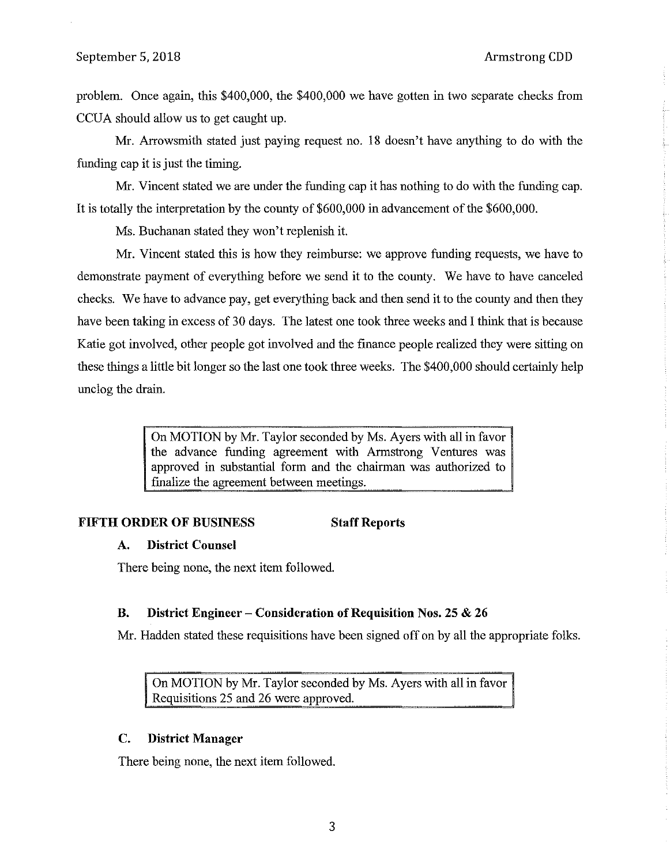problem. Once again, this \$400,000, the \$400,000 we have gotten in two separate checks from CCUA should allow us to get caught up.

Mr. Arrowsmith stated just paying request no. 18 doesn't have anything to do with the funding cap it is just the timing.

Mr. Vincent stated we are under the funding cap it has nothing to do with the funding cap. It is totally the interpretation by the county of \$600,000 in advancement of the \$600,000.

Ms. Buchanan stated they won't replenish it.

Mr. Vincent stated this is how they reimburse: we approve funding requests, we have to demonstrate payment of everything before we send it to the county. We have to have canceled checks. We have to advance pay, get everything back and then send it to the county and then they have been taking in excess of 30 days. The latest one took three weeks and I think that is because Katie got involved, other people got involved and the finance people realized they were sitting on these things a little bit longer so the last one took three weeks. The \$400,000 should certainly help unclog the drain.

> On MOTION by Mr. Taylor seconded by Ms. Ayers with all in favor the advance funding agreement with Armstrong Ventures was approved in substantial form and the chairman was authorized to finalize the agreement between meetings.

### **FIFTH ORDER OF BUSINESS Staff Reports**

#### **A. District Counsel**

There being none, the next item followed.

### **B. District Engineer - Consideration of Requisition Nos. 25 & 26**

Mr. Hadden stated these requisitions have been signed off on by all the appropriate folks.

On MOTION by Mr. Taylor seconded by Ms. Ayers with all in favor Requisitions 25 and 26 were approved.

### **C. District Manager**

There being none, the next item followed.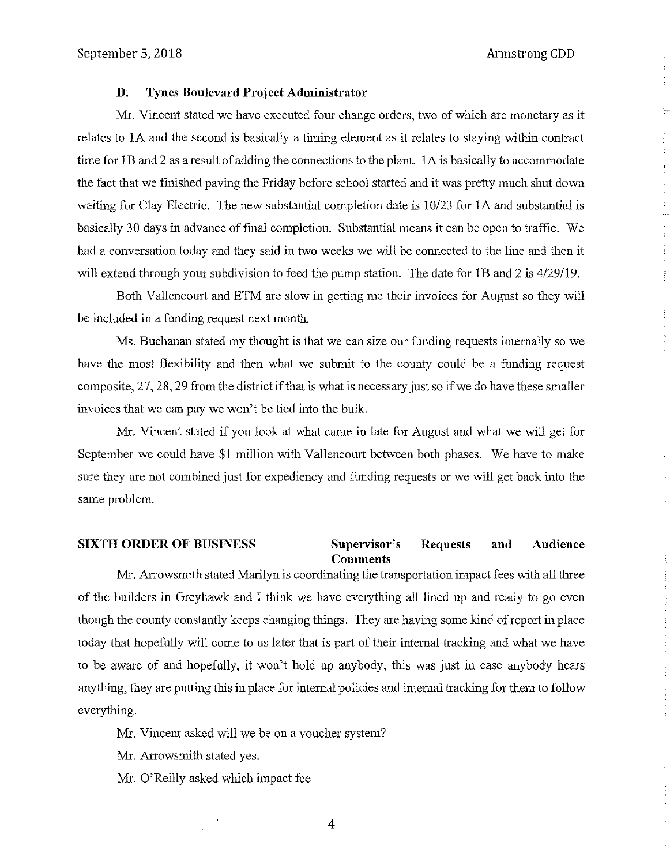#### **D. Tynes Boulevard Project Administrator**

Mr. Vincent stated we have executed four change orders, two of which are monetary as it relates to lA and the second is basically a timing element as it relates to staying within contract time for lB and 2 as a result of adding the connections to the plant. lA is basically to accommodate the fact that we finished paving the Friday before school started and it was pretty much shut down waiting for Clay Electric. The new substantial completion date is 10/23 for lA and substantial is basically 30 days in advance of final completion. Substantial means it can be open to traffic. We had a conversation today and they said in two weeks we will be connected to the line and then it will extend through your subdivision to feed the pump station. The date for 1B and 2 is 4/29/19.

Both Vallencourt and ETM are slow in getting me their invoices for August so they will be included in a funding request next month.

Ms. Buchanan stated my thought is that we can size our funding requests internally so we have the most flexibility and then what we submit to the county could be a funding request composite, 27, 28, 29 from the district ifthat is what is necessary just so if we do have these smaller invoices that we can pay we won't be tied into the bulk.

Mr. Vincent stated if you look at what came in late for August and what we will get for September we could have \$1 million with Vallencourt between both phases. We have to make sure they are not combined just for expediency and funding requests or we will get back into the same problem.

#### **SIXTH ORDER OF BUSINESS Supervisor's Requests and Audience Comments**

Mr. Arrowsmith stated Marilyn is coordinating the transportation impact fees with all three of the builders in Greyhawk and I think we have everything all lined up and ready to go even though the county constantly keeps changing things. They are having some kind of report in place today that hopefully will come to us later that is part of their internal tracking and what we have to be aware of and hopefully, it won't hold up anybody, this was just in case anybody hears anything, they are putting this in place for internal policies and internal tracking for them to follow everything.

Mr. Vincent asked will we be on a voucher system?

Mr. Arrowsmith stated yes.

Mr. O'Reilly asked which impact fee

4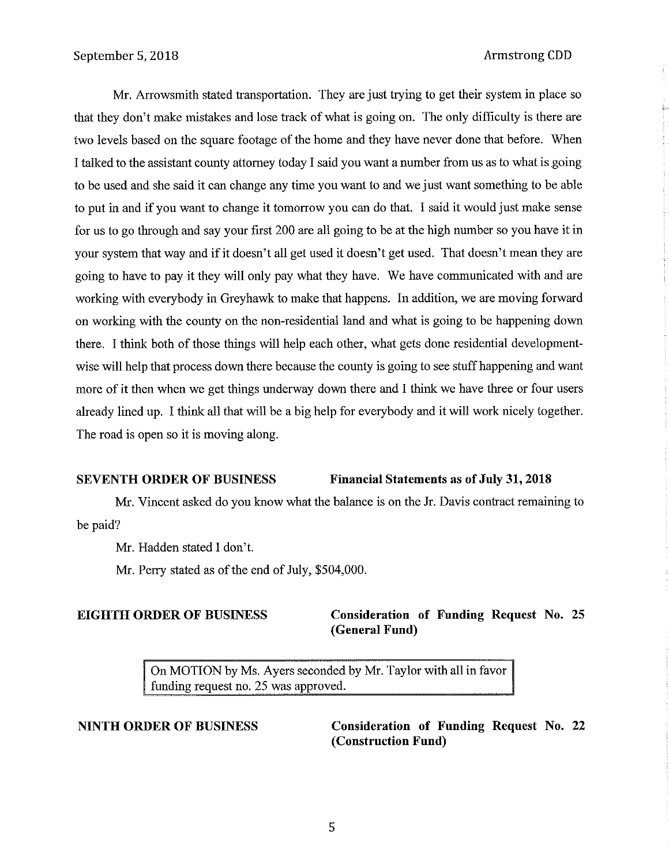Mr. Arrowsmith stated transportation. They are just trying to get their system in place so that they don't make mistakes and lose track of what is going on. The only difficulty is there are two levels based on the square footage of the home and they have never done that before. When I talked to the assistant county attorney today I said you want a number from us as to what is going to be used and she said it can change any time you want to and we just want something to be able to put in and if you want to change it tomorrow you can do that. I said it would just make sense for us to go through and say your first 200 are all going to be at the high number so you have it in your system that way and if it doesn't all get used it doesn't get used. That doesn't mean they are going to have to pay it they will only pay what they have. We have communicated with and are working with everybody in Greyhawk to make that happens. In addition, we are moving forward on working with the county on the non-residential land and what is going to be happening down there. I think both of those things will help each other, what gets done residential developmentwise will help that process down there because the county is going to see stuff happening and want more of it then when we get things underway down there and I think we have three or four users already lined up. I think all that will be a big help for everybody and it will work nicely together. The road is open so it is moving along.

#### **SEVENTH ORDER OF BUSINESS Financial Statements as of July 31, 2018**

Mr. Vincent asked do you know what the balance is on the Jr. Davis contract remaining to be paid?

Mr. Hadden stated I don't.

Mr. Perry stated as of the end of July, \$504,000.

## **EIGHTH ORDER OF BUSINESS Consideration of Funding Request No. 25 (General Fund)**

On MOTION by Ms. Ayers seconded by Mr. Taylor with all in favor funding request no. 25 was approved.

**NINTH ORDER OF BUSINESS Consideration of Funding Request** No. **22 (Construction Fund)**